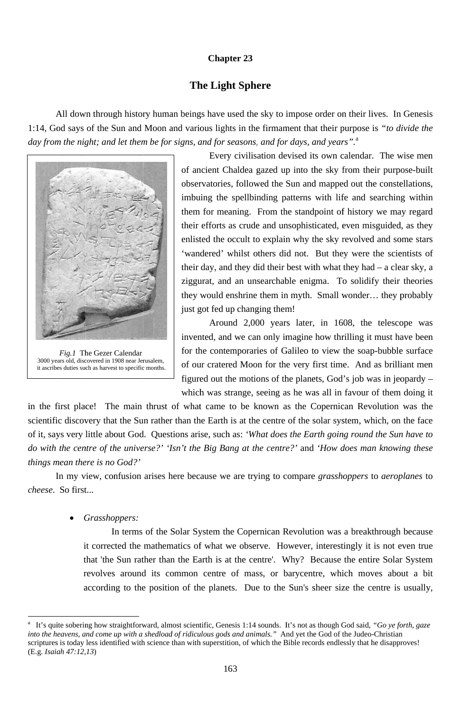#### **Chapter 23**

#### **The Light Sphere**

All down through history human beings have used the sky to impose order on their lives. In Genesis 1:14, God says of the Sun and Moon and various lights in the firmament that their purpose is "to divide the day from the night; and let them be for signs, and for seasons, and for days, and years".<sup>a</sup>



Fig.1 The Gezer Calendar 3000 years old, discovered in 1908 near Jerusalem, it ascribes duties such as harvest to specific months.

Every civilisation devised its own calendar. The wise men of ancient Chaldea gazed up into the sky from their purpose-built observatories, followed the Sun and mapped out the constellations, imbuing the spellbinding patterns with life and searching within them for meaning. From the standpoint of history we may regard their efforts as crude and unsophisticated, even misguided, as they enlisted the occult to explain why the sky revolved and some stars 'wandered' whilst others did not. But they were the scientists of their day, and they did their best with what they had  $-$  a clear sky, a ziggurat, and an unsearchable enigma. To solidify their theories they would enshrine them in myth. Small wonder... they probably just got fed up changing them!

Around 2,000 years later, in 1608, the telescope was invented, and we can only imagine how thrilling it must have been for the contemporaries of Galileo to view the soap-bubble surface of our cratered Moon for the very first time. And as brilliant men figured out the motions of the planets, God's job was in jeopardy – which was strange, seeing as he was all in favour of them doing it

in the first place! The main thrust of what came to be known as the Copernican Revolution was the scientific discovery that the Sun rather than the Earth is at the centre of the solar system, which, on the face of it, says very little about God. Questions arise, such as: 'What does the Earth going round the Sun have to do with the centre of the universe?' 'Isn't the Big Bang at the centre?' and 'How does man knowing these things mean there is no God?'

In my view, confusion arises here because we are trying to compare *grasshoppers* to *aeroplanes* to *cheese.* So first...

Grasshoppers:

In terms of the Solar System the Copernican Revolution was a breakthrough because it corrected the mathematics of what we observe. However, interestingly it is not even true that 'the Sun rather than the Earth is at the centre'. Why? Because the entire Solar System revolves around its common centre of mass, or barycentre, which moves about a bit according to the position of the planets. Due to the Sun's sheer size the centre is usually,

163

It's quite sobering how straightforward, almost scientific, Genesis 1:14 sounds. It's not as though God said, "Go ye forth, gaze  $\mathbf{a}$ into the heavens, and come up with a shedload of ridiculous gods and animals." And yet the God of the Judeo-Christian scriptures is today less identified with science than with superstition, of which the Bible records endlessly that he disapproves!  $(E.g. Isaiah 47:12,13)$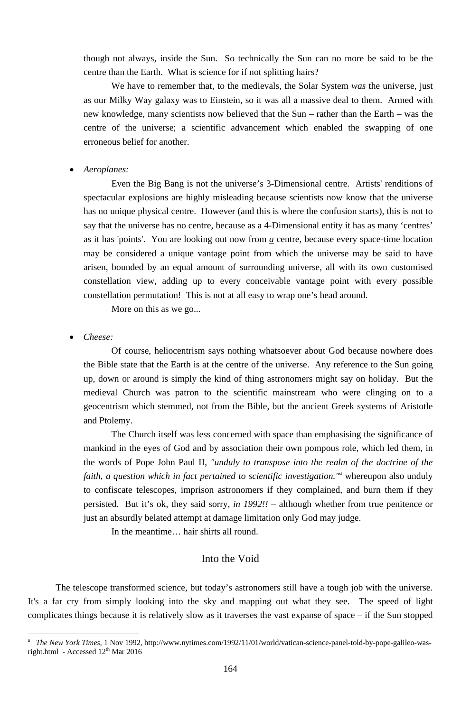though not always, inside the Sun. So technically the Sun can no more be said to be the centre than the Earth. What is science for if not splitting hairs?

We have to remember that, to the medievals, the Solar System *was* the universe, just as our Milky Way galaxy was to Einstein, so it was all a massive deal to them. Armed with new knowledge, many scientists now believed that the Sun – rather than the Earth – was the centre of the universe; a scientific advancement which enabled the swapping of one erroneous belief for another.

#### • *Aeroplanes:*

Even the Big Bang is not the universe's 3-Dimensional centre. Artists' renditions of spectacular explosions are highly misleading because scientists now know that the universe has no unique physical centre. However (and this is where the confusion starts), this is not to say that the universe has no centre, because as a 4-Dimensional entity it has as many 'centres' as it has 'points'. You are looking out now from  $\alpha$  centre, because every space-time location may be considered a unique vantage point from which the universe may be said to have arisen, bounded by an equal amount of surrounding universe, all with its own customised constellation view, adding up to every conceivable vantage point with every possible constellation permutation! This is not at all easy to wrap one's head around.

More on this as we go...

#### • *Cheese:*

-

Of course, heliocentrism says nothing whatsoever about God because nowhere does the Bible state that the Earth is at the centre of the universe. Any reference to the Sun going up, down or around is simply the kind of thing astronomers might say on holiday. But the medieval Church was patron to the scientific mainstream who were clinging on to a geocentrism which stemmed, not from the Bible, but the ancient Greek systems of Aristotle and Ptolemy.

The Church itself was less concerned with space than emphasising the significance of mankind in the eyes of God and by association their own pompous role, which led them, in the words of Pope John Paul II, *"unduly to transpose into the realm of the doctrine of the faith, a question which in fact pertained to scientific investigation."*<sup>a</sup> whereupon also unduly to confiscate telescopes, imprison astronomers if they complained, and burn them if they persisted. But it's ok, they said sorry, *in 1992!!* – although whether from true penitence or just an absurdly belated attempt at damage limitation only God may judge.

In the meantime… hair shirts all round.

## Into the Void

The telescope transformed science, but today's astronomers still have a tough job with the universe. It's a far cry from simply looking into the sky and mapping out what they see. The speed of light complicates things because it is relatively slow as it traverses the vast expanse of space – if the Sun stopped

<sup>164</sup>

a *The New York Times*, 1 Nov 1992, http://www.nytimes.com/1992/11/01/world/vatican-science-panel-told-by-pope-galileo-wasright.html - Accessed  $12^{th}$  Mar 2016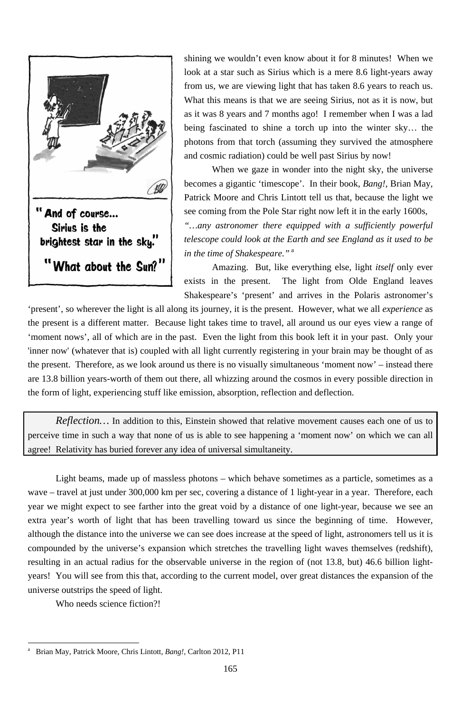

shining we wouldn't even know about it for 8 minutes! When we look at a star such as Sirius which is a mere 8.6 light-years away from us, we are viewing light that has taken 8.6 years to reach us. What this means is that we are seeing Sirius, not as it is now, but as it was 8 years and 7 months ago! I remember when I was a lad being fascinated to shine a torch up into the winter sky… the photons from that torch (assuming they survived the atmosphere and cosmic radiation) could be well past Sirius by now!

When we gaze in wonder into the night sky, the universe becomes a gigantic 'timescope'. In their book, *Bang!*, Brian May, Patrick Moore and Chris Lintott tell us that, because the light we see coming from the Pole Star right now left it in the early 1600s, *"…any astronomer there equipped with a sufficiently powerful telescope could look at the Earth and see England as it used to be in the time of Shakespeare."*<sup>a</sup>

Amazing. But, like everything else, light *itself* only ever exists in the present. The light from Olde England leaves Shakespeare's 'present' and arrives in the Polaris astronomer's

*Reflection*... In addition to this, Einstein showed that relative movement causes each one of us to perceive time in such a way that none of us is able to see happening a 'moment now' on which we can all agree! Relativity has buried forever any idea of universal simultaneity.

'present', so wherever the light is all along its journey, it is the present. However, what we all *experience* as the present is a different matter. Because light takes time to travel, all around us our eyes view a range of 'moment nows', all of which are in the past. Even the light from this book left it in your past. Only your 'inner now' (whatever that is) coupled with all light currently registering in your brain may be thought of as the present. Therefore, as we look around us there is no visually simultaneous 'moment now' – instead there are 13.8 billion years-worth of them out there, all whizzing around the cosmos in every possible direction in the form of light, experiencing stuff like emission, absorption, reflection and deflection.

Light beams, made up of massless photons – which behave sometimes as a particle, sometimes as a wave – travel at just under 300,000 km per sec, covering a distance of 1 light-year in a year. Therefore, each year we might expect to see farther into the great void by a distance of one light-year, because we see an extra year's worth of light that has been travelling toward us since the beginning of time. However, although the distance into the universe we can see does increase at the speed of light, astronomers tell us it is compounded by the universe's expansion which stretches the travelling light waves themselves (redshift), resulting in an actual radius for the observable universe in the region of (not 13.8, but) 46.6 billion lightyears! You will see from this that, according to the current model, over great distances the expansion of the universe outstrips the speed of light. Who needs science fiction?!

-

<sup>165</sup>

a Brian May, Patrick Moore, Chris Lintott, *Bang!*, Carlton 2012, P11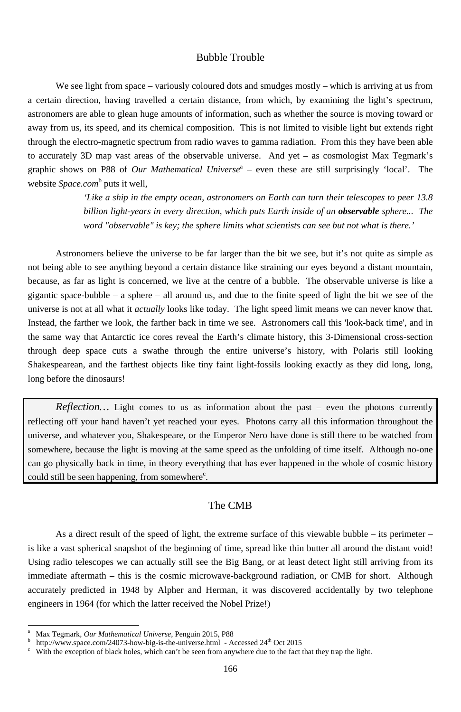## Bubble Trouble

We see light from space – variously coloured dots and smudges mostly – which is arriving at us from a certain direction, having travelled a certain distance, from which, by examining the light's spectrum, astronomers are able to glean huge amounts of information, such as whether the source is moving toward or away from us, its speed, and its chemical composition. This is not limited to visible light but extends right through the electro-magnetic spectrum from radio waves to gamma radiation. From this they have been able to accurately 3D map vast areas of the observable universe. And yet – as cosmologist Max Tegmark's graphic shows on P88 of *Our Mathematical Universe*<sup>a</sup> – even these are still surprisingly 'local'. The website *Space.com*<sup>b</sup> puts it well,

> *'Like a ship in the empty ocean, astronomers on Earth can turn their telescopes to peer 13.8 billion light-years in every direction, which puts Earth inside of an observable sphere... The word "observable" is key; the sphere limits what scientists can see but not what is there.'*

Astronomers believe the universe to be far larger than the bit we see, but it's not quite as simple as not being able to see anything beyond a certain distance like straining our eyes beyond a distant mountain, because, as far as light is concerned, we live at the centre of a bubble. The observable universe is like a gigantic space-bubble – a sphere – all around us, and due to the finite speed of light the bit we see of the universe is not at all what it *actually* looks like today. The light speed limit means we can never know that. Instead, the farther we look, the farther back in time we see. Astronomers call this 'look-back time', and in the same way that Antarctic ice cores reveal the Earth's climate history, this 3-Dimensional cross-section through deep space cuts a swathe through the entire universe's history, with Polaris still looking Shakespearean, and the farthest objects like tiny faint light-fossils looking exactly as they did long, long, long before the dinosaurs!

*Reflection*… Light comes to us as information about the past – even the photons currently reflecting off your hand haven't yet reached your eyes. Photons carry all this information throughout the universe, and whatever you, Shakespeare, or the Emperor Nero have done is still there to be watched from somewhere, because the light is moving at the same speed as the unfolding of time itself. Although no-one can go physically back in time, in theory everything that has ever happened in the whole of cosmic history could still be seen happening, from somewhere $\epsilon$ .

### The CMB

As a direct result of the speed of light, the extreme surface of this viewable bubble – its perimeter – is like a vast spherical snapshot of the beginning of time, spread like thin butter all around the distant void! Using radio telescopes we can actually still see the Big Bang, or at least detect light still arriving from its immediate aftermath – this is the cosmic microwave-background radiation, or CMB for short. Although accurately predicted in 1948 by Alpher and Herman, it was discovered accidentally by two telephone engineers in 1964 (for which the latter received the Nobel Prize!)

-

<sup>166</sup>

b <sup>b</sup> http://www.space.com/24073-how-big-is-the-universe.html - Accessed 24<sup>th</sup> Oct 2015<br><sup>c</sup> With the exception of black holes which can't be seen from anywhere due to the fact to

With the exception of black holes, which can't be seen from anywhere due to the fact that they trap the light.

a Max Tegmark, *Our Mathematical Universe*, Penguin 2015, P88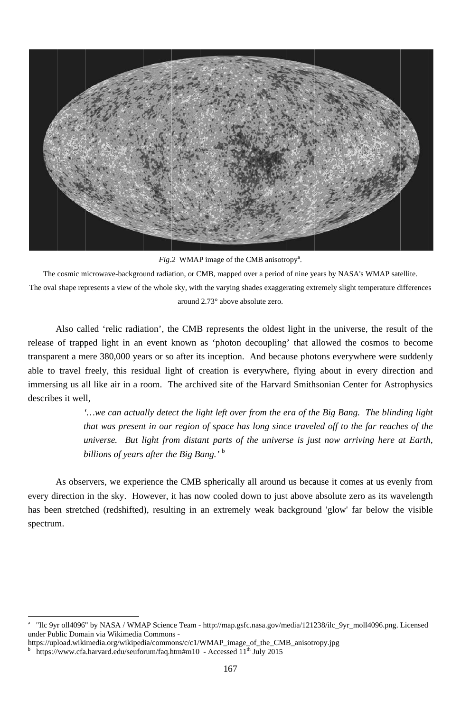

Fig.2 WMAP image of the CMB anisotropy<sup>a</sup>.

The cosmic microwave-background radiation, or CMB, mapped over a period of nine years by NASA's WMAP satellite. The oval shape represents a view of the whole sky, with the varying shades exaggerating extremely slight temperature differences around 2.73° above absolute zero.

Also called 'relic radiation', the CMB represents the oldest light in the universe, the result of the release of trapped light in an event known as 'photon decoupling' that allowed the cosmos to become transparent a mere 380,000 years or so after its inception. And because photons everywhere were suddenly able to travel freely, this residual light of creation is everywhere, flying about in every direction and immersing us all like air in a room. The archived site of the Harvard Smithsonian Center for Astrophysics describes it well,

> '...we can actually detect the light left over from the era of the Big Bang. The blinding light that was present in our region of space has long since traveled off to the far reaches of the universe. But light from distant parts of the universe is just now arriving here at Earth, billions of years after the Big Bang.'<sup>b</sup>

As observers, we experience the CMB spherically all around us because it comes at us evenly from every direction in the sky. However, it has now cooled down to just above absolute zero as its wavelength has been stretched (redshifted), resulting in an extremely weak background 'glow' far below the visible spectrum.

 $\mathbf{a}$ "Ilc 9yr oll4096" by NASA / WMAP Science Team - http://map.gsfc.nasa.gov/media/121238/ilc\_9yr\_moll4096.png. Licensed under Public Domain via Wikimedia Commons -

https://upload.wikimedia.org/wikipedia/commons/c/c1/WMAP\_image\_of\_the\_CMB\_anisotropy.jpg  $\mathbf b$ https://www.cfa.harvard.edu/seuforum/faq.htm#m10 - Accessed  $11<sup>th</sup>$  July 2015

<sup>167</sup>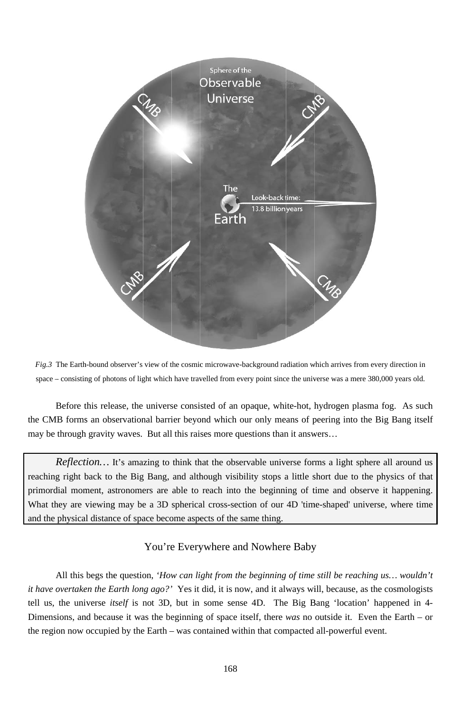

Fig.3 The Earth-bound observer's view of the cosmic microwave-background radiation which arrives from every direction in space – consisting of photons of light which have travelled from every point since the universe was a mere 380,000 years old.

Before this release, the universe consisted of an opaque, white-hot, hydrogen plasma fog. As such the CMB forms an observational barrier beyond which our only means of peering into the Big Bang itself may be through gravity waves. But all this raises more questions than it answers...

*Reflection*... It's amazing to think that the observable universe forms a light sphere all around us reaching right back to the Big Bang, and although visibility stops a little short due to the physics of that primordial moment, astronomers are able to reach into the beginning of time and observe it happening. What they are viewing may be a 3D spherical cross-section of our 4D 'time-shaped' universe, where time and the physical distance of space become aspects of the same thing.

# You're Everywhere and Nowhere Baby

All this begs the question, 'How can light from the beginning of time still be reaching us... wouldn't *it have overtaken the Earth long ago?'* Yes it did, it is now, and it always will, because, as the cosmologists tell us, the universe *itself* is not 3D, but in some sense 4D. The Big Bang 'location' happened in 4-Dimensions, and because it was the beginning of space itself, there was no outside it. Even the Earth – or the region now occupied by the Earth – was contained within that compacted all-powerful event.

168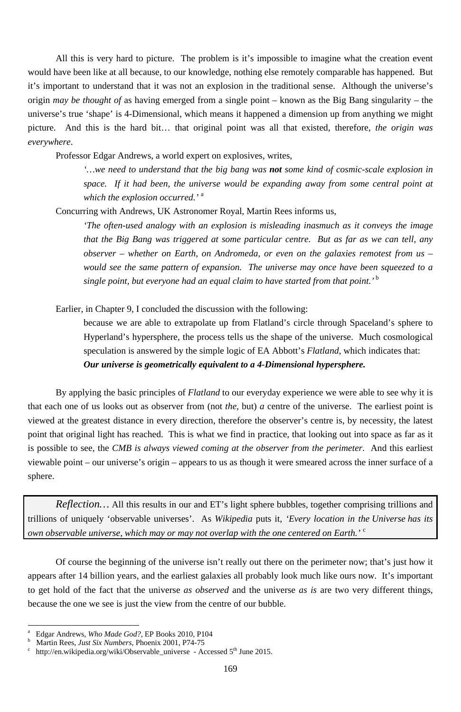All this is very hard to picture. The problem is it's impossible to imagine what the creation event would have been like at all because, to our knowledge, nothing else remotely comparable has happened. But it's important to understand that it was not an explosion in the traditional sense. Although the universe's origin *may be thought of* as having emerged from a single point – known as the Big Bang singularity – the universe's true 'shape' is 4-Dimensional, which means it happened a dimension up from anything we might picture. And this is the hard bit… that original point was all that existed, therefore, *the origin was everywhere*.

Professor Edgar Andrews, a world expert on explosives, writes,

*'…we need to understand that the big bang was not some kind of cosmic-scale explosion in space.* If it had been, the universe would be expanding away from some central point at *which the explosion occurred.'* <sup>a</sup>

Concurring with Andrews, UK Astronomer Royal, Martin Rees informs us,

*'The often-used analogy with an explosion is misleading inasmuch as it conveys the image that the Big Bang was triggered at some particular centre. But as far as we can tell, any observer – whether on Earth, on Andromeda, or even on the galaxies remotest from us – would see the same pattern of expansion. The universe may once have been squeezed to a single point, but everyone had an equal claim to have started from that point.'*<sup>b</sup>

Earlier, in Chapter 9, I concluded the discussion with the following:

-

because we are able to extrapolate up from Flatland's circle through Spaceland's sphere to Hyperland's hypersphere, the process tells us the shape of the universe. Much cosmological speculation is answered by the simple logic of EA Abbott's *Flatland*, which indicates that: *Our universe is geometrically equivalent to a 4-Dimensional hypersphere.*

By applying the basic principles of *Flatland* to our everyday experience we were able to see why it is that each one of us looks out as observer from (not *the*, but) *a* centre of the universe. The earliest point is viewed at the greatest distance in every direction, therefore the observer's centre is, by necessity, the latest point that original light has reached. This is what we find in practice, that looking out into space as far as it is possible to see, the *CMB is always viewed coming at the observer from the perimeter*. And this earliest viewable point – our universe's origin – appears to us as though it were smeared across the inner surface of a sphere.

*Reflection…* All this results in our and ET's light sphere bubbles, together comprising trillions and trillions of uniquely 'observable universes'. As *Wikipedia* puts it, *'Every location in the Universe has its* 

*own observable universe, which may or may not overlap with the one centered on Earth.'* <sup>c</sup>

Of course the beginning of the universe isn't really out there on the perimeter now; that's just how it appears after 14 billion years, and the earliest galaxies all probably look much like ours now. It's important to get hold of the fact that the universe *as observed* and the universe *as is* are two very different things, because the one we see is just the view from the centre of our bubble.

<sup>169</sup>

b <sup>b</sup> Martin Rees, *Just Six Numbers*, Phoenix 2001, P74-75<sup>c</sup> http://en.wikipedia.org/wiki/Observable.universe

http://en.wikipedia.org/wiki/Observable\_universe - Accessed 5<sup>th</sup> June 2015.

a Edgar Andrews, *Who Made God?*, EP Books 2010, P104